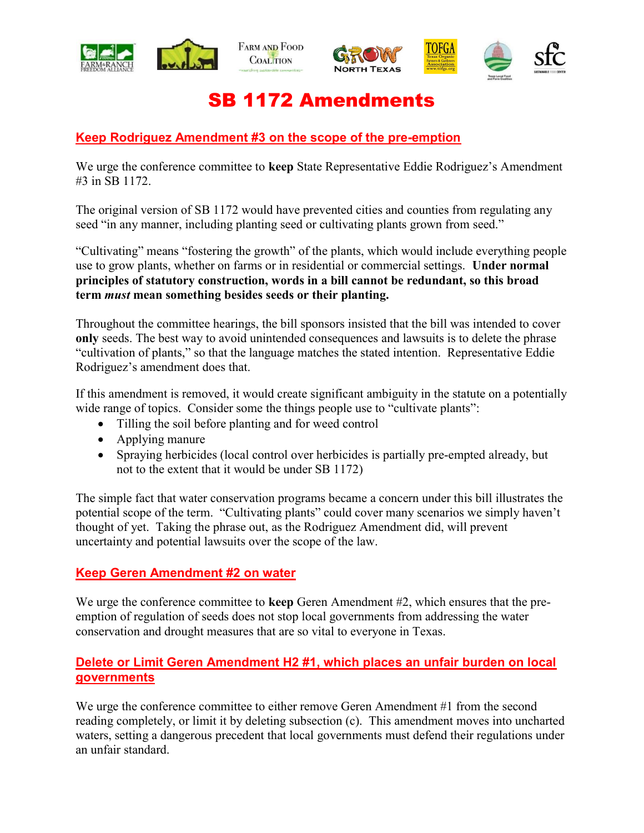





# SB 1172 Amendments

## Keep Rodriguez Amendment #3 on the scope of the pre-emption

We urge the conference committee to keep State Representative Eddie Rodriguez's Amendment #3 in SB 1172.

The original version of SB 1172 would have prevented cities and counties from regulating any seed "in any manner, including planting seed or cultivating plants grown from seed."

"Cultivating" means "fostering the growth" of the plants, which would include everything people use to grow plants, whether on farms or in residential or commercial settings. Under normal principles of statutory construction, words in a bill cannot be redundant, so this broad term *must* mean something besides seeds or their planting.

Throughout the committee hearings, the bill sponsors insisted that the bill was intended to cover only seeds. The best way to avoid unintended consequences and lawsuits is to delete the phrase "cultivation of plants," so that the language matches the stated intention. Representative Eddie Rodriguez's amendment does that.

If this amendment is removed, it would create significant ambiguity in the statute on a potentially wide range of topics. Consider some the things people use to "cultivate plants":

- Tilling the soil before planting and for weed control
- Applying manure
- Spraying herbicides (local control over herbicides is partially pre-empted already, but not to the extent that it would be under SB 1172)

The simple fact that water conservation programs became a concern under this bill illustrates the potential scope of the term. "Cultivating plants" could cover many scenarios we simply haven't thought of yet. Taking the phrase out, as the Rodriguez Amendment did, will prevent uncertainty and potential lawsuits over the scope of the law.

### Keep Geren Amendment #2 on water

We urge the conference committee to keep Geren Amendment #2, which ensures that the preemption of regulation of seeds does not stop local governments from addressing the water conservation and drought measures that are so vital to everyone in Texas.

### Delete or Limit Geren Amendment H2 #1, which places an unfair burden on local governments

We urge the conference committee to either remove Geren Amendment #1 from the second reading completely, or limit it by deleting subsection (c). This amendment moves into uncharted waters, setting a dangerous precedent that local governments must defend their regulations under an unfair standard.